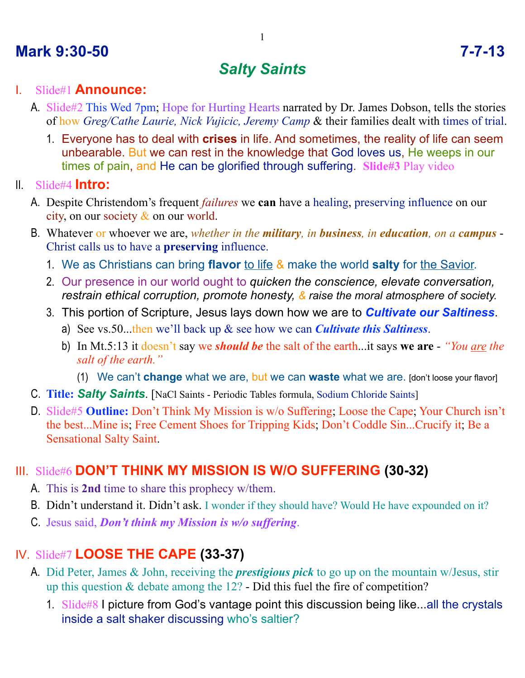## **Mark 9:30-50 7-7-13**

# *Salty Saints*

#### I. Slide#1 **Announce:**

- A. Slide#2 This Wed 7pm; Hope for Hurting Hearts narrated by Dr. James Dobson, tells the stories of how *Greg/Cathe Laurie, Nick Vujicic, Jeremy Camp* & their families dealt with times of trial.
	- 1. Everyone has to deal with **crises** in life. And sometimes, the reality of life can seem unbearable. But we can rest in the knowledge that God loves us, He weeps in our times of pain, and He can be glorified through suffering. **Slide#3** Play video

II. Slide#4 **Intro:**

- A. Despite Christendom's frequent *failures* we **can** have a healing, preserving influence on our city, on our society  $\&$  on our world.
- B. Whatever or whoever we are, *whether in the military, in business, in education, on a campus* Christ calls us to have a **preserving** influence.
	- 1. We as Christians can bring **flavor** to life & make the world **salty** for the Savior.
	- 2. Our presence in our world ought to *quicken the conscience, elevate conversation, restrain ethical corruption, promote honesty, & raise the moral atmosphere of society.*
	- 3. This portion of Scripture, Jesus lays down how we are to *Cultivate our Saltiness*.
		- a) See vs.50...then we'll back up & see how we can *Cultivate this Saltiness*.
		- b) In Mt.5:13 it doesn't say we *should be* the salt of the earth...it says **we are** *"You are the salt of the earth."*
			- (1) We can't **change** what we are, but we can **waste** what we are. [don't loose your flavor]
- C. **Title:** *Salty Saints*. [NaCl Saints Periodic Tables formula, Sodium Chloride Saints]
- D. Slide#5 **Outline:** Don't Think My Mission is w/o Suffering; Loose the Cape; Your Church isn't the best...Mine is; Free Cement Shoes for Tripping Kids; Don't Coddle Sin...Crucify it; Be a Sensational Salty Saint.

#### III. Slide#6 **DON'T THINK MY MISSION IS W/O SUFFERING (30-32)**

- A. This is **2nd** time to share this prophecy w/them.
- B. Didn't understand it. Didn't ask. I wonder if they should have? Would He have expounded on it?
- C. Jesus said, *Don't think my Mission is w/o suffering*.

### IV. Slide#7 **LOOSE THE CAPE (33-37)**

- A. Did Peter, James & John, receiving the *prestigious pick* to go up on the mountain w/Jesus, stir up this question  $&$  debate among the 12? - Did this fuel the fire of competition?
	- 1. Slide#8 I picture from God's vantage point this discussion being like...all the crystals inside a salt shaker discussing who's saltier?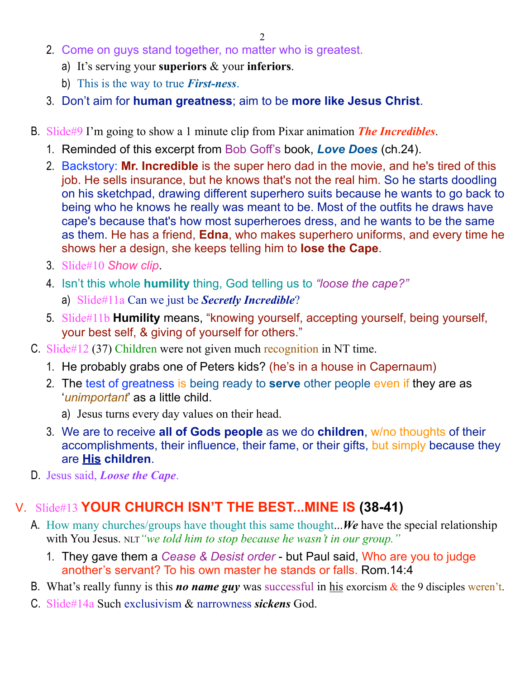- 2. Come on guys stand together, no matter who is greatest.
	- a) It's serving your **superiors** & your **inferiors**.
	- b) This is the way to true *First-ness*.
- 3. Don't aim for **human greatness**; aim to be **more like Jesus Christ**.
- B. Slide#9 I'm going to show a 1 minute clip from Pixar animation *The Incredibles*.
	- 1. Reminded of this excerpt from Bob Goff's book, *Love Does* (ch.24).
	- 2. Backstory: **Mr. Incredible** is the super hero dad in the movie, and he's tired of this job. He sells insurance, but he knows that's not the real him. So he starts doodling on his sketchpad, drawing different superhero suits because he wants to go back to being who he knows he really was meant to be. Most of the outfits he draws have cape's because that's how most superheroes dress, and he wants to be the same as them. He has a friend, **Edna**, who makes superhero uniforms, and every time he shows her a design, she keeps telling him to **lose the Cape**.
	- 3. Slide#10 *Show clip*.
	- 4. Isn't this whole **humility** thing, God telling us to *"loose the cape?"* a) Slide#11a Can we just be *Secretly Incredible*?
	- 5. Slide#11b **Humility** means, "knowing yourself, accepting yourself, being yourself, your best self, & giving of yourself for others."
- C. Slide#12 (37) Children were not given much recognition in NT time.
	- 1. He probably grabs one of Peters kids? (he's in a house in Capernaum)
	- 2. The test of greatness is being ready to **serve** other people even if they are as '*unimportant*' as a little child.
		- a) Jesus turns every day values on their head.
	- 3. We are to receive **all of Gods people** as we do **children**, w/no thoughts of their accomplishments, their influence, their fame, or their gifts, but simply because they are **His children**.
- D. Jesus said, *Loose the Cape*.

#### V. Slide#13 **YOUR CHURCH ISN'T THE BEST...MINE IS (38-41)**

- A. How many churches/groups have thought this same thought...*We* have the special relationship with You Jesus. NLT "we told him to stop because he wasn't in our group."
	- 1. They gave them a *Cease & Desist order* but Paul said, Who are you to judge another's servant? To his own master he stands or falls. Rom.14:4
- B. What's really funny is this *no name guy* was successful in his exorcism & the 9 disciples weren't.
- C. Slide#14a Such exclusivism & narrowness *sickens* God.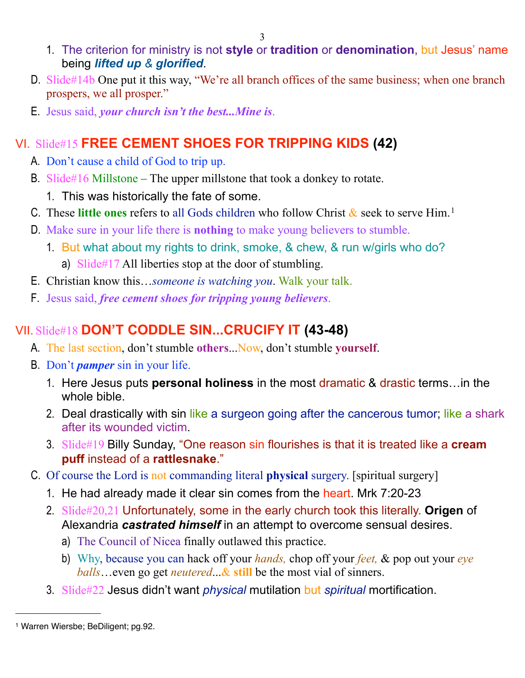- 1. The criterion for ministry is not **style** or **tradition** or **denomination**, but Jesus' name being *lifted up & glorified*.
- D. Slide#14b One put it this way, "We're all branch offices of the same business; when one branch prospers, we all prosper."
- E. Jesus said, *your church isn't the best...Mine is*.

# VI. Slide#15 **FREE CEMENT SHOES FOR TRIPPING KIDS (42)**

- A. Don't cause a child of God to trip up.
- B. Slide#16 Millstone The upper millstone that took a donkey to rotate.
	- 1. This was historically the fate of some.
- C. These **little ones** refers to all Gods children who follow Christ & seek to serve Him.[1](#page-2-0)
- D. Make sure in your life there is **nothing** to make young believers to stumble.
	- 1. But what about my rights to drink, smoke, & chew, & run w/girls who do? a) Slide#17 All liberties stop at the door of stumbling.
- E. Christian know this…*someone is watching you*. Walk your talk.
- F. Jesus said, *free cement shoes for tripping young believers*.

# VII. Slide#18 **DON'T CODDLE SIN...CRUCIFY IT (43-48)**

- A. The last section, don't stumble **others**...Now, don't stumble **yourself**.
- B. Don't *pamper* sin in your life.
	- 1. Here Jesus puts **personal holiness** in the most dramatic & drastic terms…in the whole bible.
	- 2. Deal drastically with sin like a surgeon going after the cancerous tumor; like a shark after its wounded victim.
	- 3. Slide#19 Billy Sunday, "One reason sin flourishes is that it is treated like a **cream puff** instead of a **rattlesnake**."
- C. Of course the Lord is not commanding literal **physical** surgery. [spiritual surgery]
	- 1. He had already made it clear sin comes from the heart. Mrk 7:20-23
	- 2. Slide#20,21 Unfortunately, some in the early church took this literally. **Origen** of Alexandria *castrated himself* in an attempt to overcome sensual desires.
		- a) The Council of Nicea finally outlawed this practice.
		- b) Why, because you can hack off your *hands,* chop off your *feet,* & pop out your *eye balls*…even go get *neutered*...& **still** be the most vial of sinners.
	- 3. Slide#22 Jesus didn't want *physical* mutilation but *spiritual* mortification.

<span id="page-2-0"></span><sup>1</sup> Warren Wiersbe; BeDiligent; pg.92.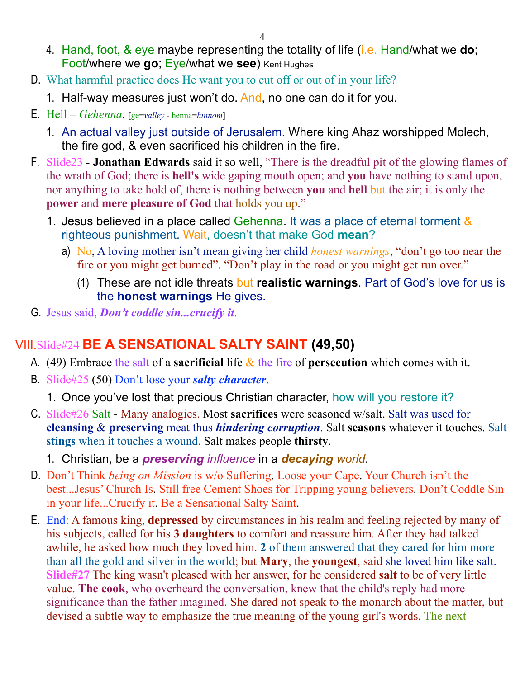- 4. Hand, foot, & eye maybe representing the totality of life (i.e. Hand/what we **do**; Foot/where we **go**; Eye/what we **see**) Kent Hughes
- D. What harmful practice does He want you to cut off or out of in your life?
	- 1. Half-way measures just won't do. And, no one can do it for you.
- E. Hell *Gehenna*. [ge=*valley* henna=*hinnom*]
	- 1. An actual valley just outside of Jerusalem. Where king Ahaz worshipped Molech, the fire god, & even sacrificed his children in the fire.
- F. Slide23 **Jonathan Edwards** said it so well, "There is the dreadful pit of the glowing flames of the wrath of God; there is **hell's** wide gaping mouth open; and **you** have nothing to stand upon, nor anything to take hold of, there is nothing between **you** and **hell** but the air; it is only the **power** and **mere pleasure of God** that holds you up."
	- 1. Jesus believed in a place called Gehenna. It was a place of eternal torment & righteous punishment. Wait, doesn't that make God **mean**?
		- a) No, A loving mother isn't mean giving her child *honest warnings*, "don't go too near the fire or you might get burned", "Don't play in the road or you might get run over."
			- (1) These are not idle threats but **realistic warnings**. Part of God's love for us is the **honest warnings** He gives.
- G. Jesus said, *Don't coddle sin...crucify it*.

#### VIII.Slide#24 **BE A SENSATIONAL SALTY SAINT (49,50)**

- A. (49) Embrace the salt of a **sacrificial** life & the fire of **persecution** which comes with it.
- B. Slide#25 (50) Don't lose your *salty character*.

1. Once you've lost that precious Christian character, how will you restore it?

- C. Slide#26 Salt Many analogies. Most **sacrifices** were seasoned w/salt. Salt was used for **cleansing** & **preserving** meat thus *hindering corruption*. Salt **seasons** whatever it touches. Salt **stings** when it touches a wound. Salt makes people **thirsty**.
	- 1. Christian, be a *preserving influence* in a *decaying world*.
- D. Don't Think *being on Mission* is w/o Suffering. Loose your Cape. Your Church isn't the best...Jesus' Church Is. Still free Cement Shoes for Tripping young believers. Don't Coddle Sin in your life...Crucify it. Be a Sensational Salty Saint.
- E. End: A famous king, **depressed** by circumstances in his realm and feeling rejected by many of his subjects, called for his **3 daughters** to comfort and reassure him. After they had talked awhile, he asked how much they loved him. **2** of them answered that they cared for him more than all the gold and silver in the world; but **Mary**, the **youngest**, said she loved him like salt. **Slide#27** The king wasn't pleased with her answer, for he considered **salt** to be of very little value. **The cook**, who overheard the conversation, knew that the child's reply had more significance than the father imagined. She dared not speak to the monarch about the matter, but devised a subtle way to emphasize the true meaning of the young girl's words. The next